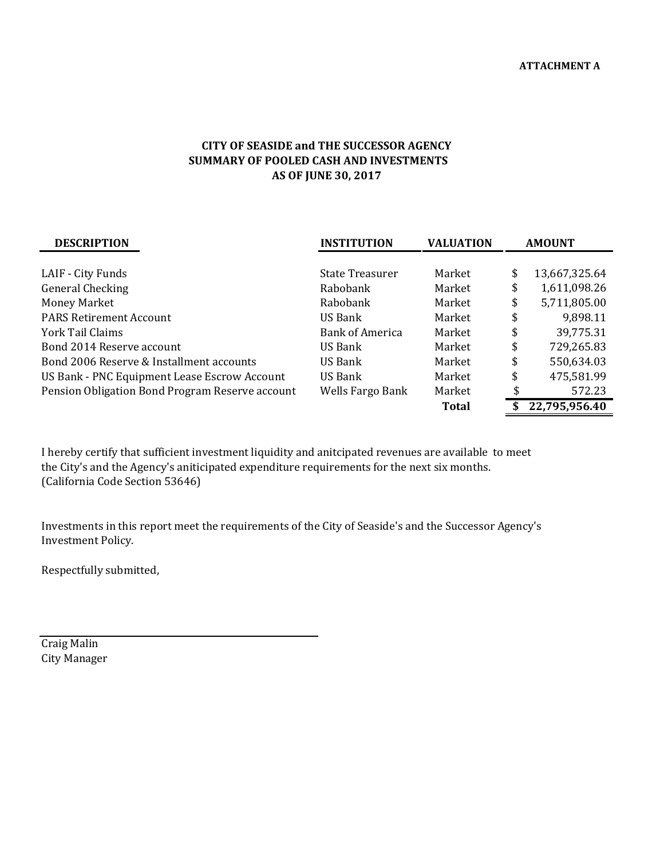## **AS OF JUNE 30, 2017 CITY OF SEASIDE and THE SUCCESSOR AGENCY SUMMARY OF POOLED CASH AND INVESTMENTS**

| <b>DESCRIPTION</b>                              | <b>INSTITUTION</b> | <b>VALUATION</b> | <b>AMOUNT</b> |               |
|-------------------------------------------------|--------------------|------------------|---------------|---------------|
|                                                 |                    |                  |               |               |
| LAIF - City Funds                               | State Treasurer    | Market           | \$            | 13,667,325.64 |
| <b>General Checking</b>                         | Rabobank           | Market           | \$            | 1,611,098.26  |
| <b>Money Market</b>                             | Rabobank           | Market           | \$            | 5,711,805.00  |
| <b>PARS Retirement Account</b>                  | US Bank            | Market           | \$            | 9,898.11      |
| York Tail Claims                                | Bank of America    | Market           | \$            | 39,775.31     |
| Bond 2014 Reserve account                       | US Bank            | Market           | \$            | 729,265.83    |
| Bond 2006 Reserve & Installment accounts        | US Bank            | Market           | \$            | 550,634.03    |
| US Bank - PNC Equipment Lease Escrow Account    | <b>US Bank</b>     | Market           | \$            | 475,581.99    |
| Pension Obligation Bond Program Reserve account | Wells Fargo Bank   | Market           |               | 572.23        |
|                                                 |                    | <b>Total</b>     | \$            | 22,795,956.40 |

I hereby certify that sufficient investment liquidity and anitcipated revenues are available to meet the City's and the Agency's aniticipated expenditure requirements for the next six months. (California Code Section 53646)

Investments in this report meet the requirements of the City of Seaside's and the Successor Agency's Investment Policy.

Respectfully submitted,

Craig Malin City Manager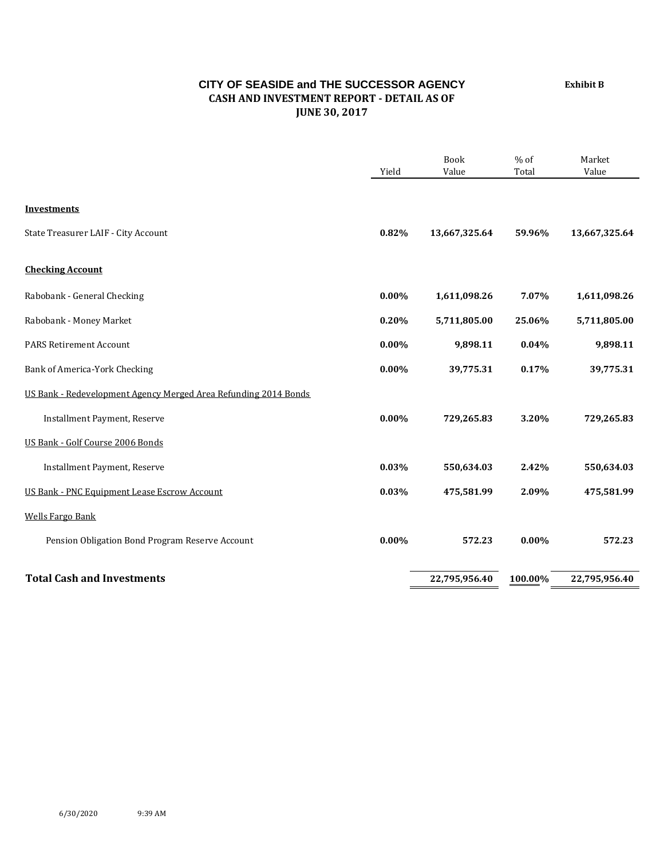## **CITY OF SEASIDE and THE SUCCESSOR AGENCY CASH AND INVESTMENT REPORT ‐ DETAIL AS OF JUNE 30, 2017**

Book % of Market Yield Value Total Value **Investments** State Treasurer LAIF - City Account **12.82 <b>13.667,325.64 13,667,325.64 13,667,325.64 13,667,325.64 13,667,325.64 Checking Account** Rabobank - General Checking **1,611,098.26 1,611,098.26 1,611,098.26 1,611,098.26 1,611,098.26** Rabobank - Money Market **1.2000 <b>1.2000 0.20% 5,711,805.00 <b>25.06%** 5,711,805.00 PARS Retirement Account **0.00% 9,898.11 0.04% 9,898.11**  Bank of America-York Checking **1.18 and 2.000 39,775.31 1.17%** 39,775.31 US Bank - Redevelopment Agency Merged Area Refunding 2014 Bonds **Installment Payment, Reserve 1.2000 <b>8.2000 729,265.83 1.2000 729,265.83 1.2000 729,265.83** US Bank - Golf Course 2006 Bonds **Installment Payment, Reserve 1.42% 550,634.03 550,634.03 1.42% 550,634.03 550,634.03** US Bank - PNC Equipment Lease Escrow Account **1.000 <b>1.000 1.000 4.000 1.000 4.000 4.000 1.000 4.000 1.000 4.000 1.000 4.000 1.000 4.000 4.000 1.000 4.000 1.000 4.000 4.000 1.000 4** Wells Fargo Bank Pension Obligation Bond Program Reserve Account **0.00%** 572.23 **0.00%** 572.23 **Total Cash and Investments 22,795,956.40 100.00% 22,795,956.40**

**Exhibit B**